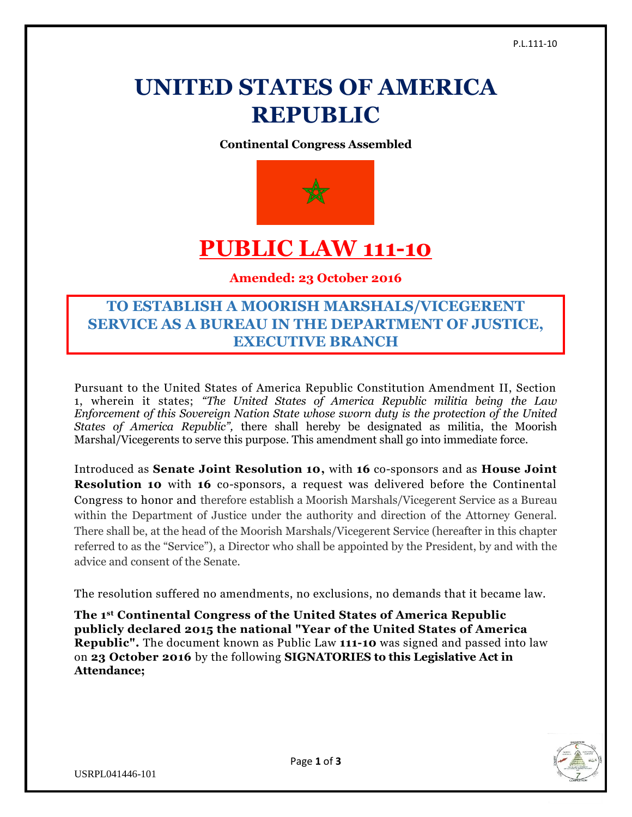# **UNITED STATES OF AMERICA REPUBLIC**

**Continental Congress Assembled**



## **PUBLIC LAW 111-10**

**Amended: 23 October 2016**

### **TO ESTABLISH A MOORISH MARSHALS/VICEGERENT SERVICE AS A BUREAU IN THE DEPARTMENT OF JUSTICE, EXECUTIVE BRANCH**

Pursuant to the United States of America Republic Constitution Amendment II, Section 1, wherein it states; *"The United States of America Republic militia being the Law Enforcement of this Sovereign Nation State whose sworn duty is the protection of the United States of America Republic",* there shall hereby be designated as militia, the Moorish Marshal/Vicegerents to serve this purpose. This amendment shall go into immediate force.

Introduced as **Senate Joint Resolution 10,** with **16** co-sponsors and as **House Joint Resolution 10** with **16** co-sponsors, a request was delivered before the Continental Congress to honor and therefore establish a Moorish Marshals/Vicegerent Service as a Bureau within the Department of Justice under the authority and direction of the Attorney General. There shall be, at the head of the Moorish Marshals/Vicegerent Service (hereafter in this chapter referred to as the "Service"), a Director who shall be appointed by the President, by and with the advice and consent of the Senate.

The resolution suffered no amendments, no exclusions, no demands that it became law.

**The 1st Continental Congress of the United States of America Republic publicly declared 2015 the national "Year of the United States of America Republic".** The document known as Public Law **111-10** was signed and passed into law on **23 October 2016** by the following **SIGNATORIES to this Legislative Act in Attendance;**



USRPL041446-101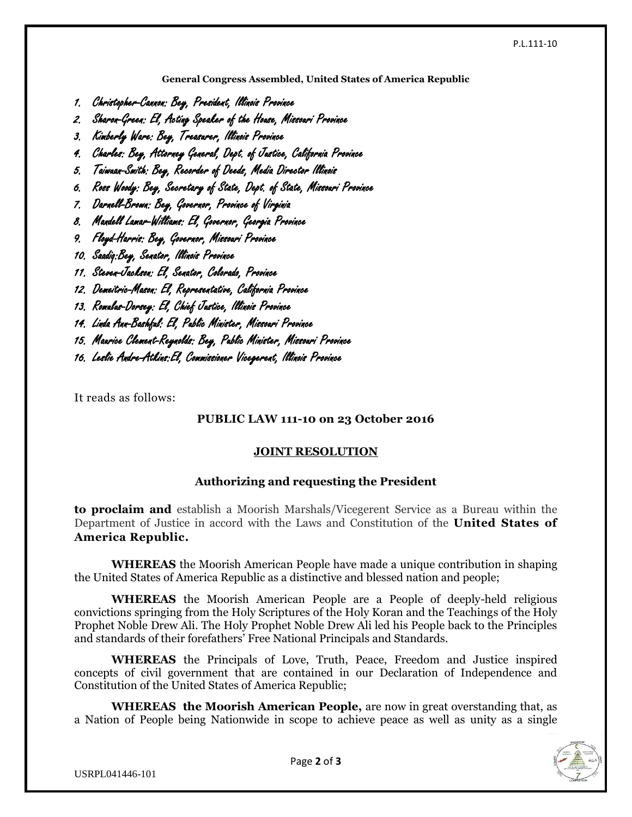**General Congress Assembled, United States of America Republic**

- 1. Christopher-Cannon: Bey, President, Illinois Province
- 2. Sharon-Green: El, Acting Speaker of the House, Missouri Province
- 3. Kimberly Ware: Bey, Treasurer, Illinois Province
- 4. Charles: Bey, Attorney General, Dept. of Justice, California Province
- 5. Taiwuan-Smith: Bey, Recorder of Deeds, Media Director Illinois
- 6. Ross Woody: Bey, Secretary of State, Dept. of State, Missouri Province
- 7. Darnell-Brown: Bey, Governor, Province of Virginia
- 8. Mandell Lamar-Williams: El, Governor, Georgia Province
- 9. Floyd-Harris: Bey, Governor, Missouri Province
- 10. Saadiq:Bey, Senator, Illinois Province
- 11. Steven-Jackson: El, Senator, Colorado, Province
- 12. Demeitric-Mason: El, Representative, California Province
- 13. Romulus-Dorsey: El, Chief Justice, Illinois Province
- 14. Linda Ann-Bashful: El, Public Minister, Missouri Province
- 15. Maurice Clement-Reynolds: Bey, Public Minister, Missouri Province
- 16. Leslie Andre-Atkins:El, Commissioner Vicegerent, Illinois Province

It reads as follows:

#### **PUBLIC LAW 111-10 on 23 October 2016**

#### **JOINT RESOLUTION**

#### **Authorizing and requesting the President**

**to proclaim and** establish a Moorish Marshals/Vicegerent Service as a Bureau within the Department of Justice in accord with the Laws and Constitution of the **United States of America Republic.**

**WHEREAS** the Moorish American People have made a unique contribution in shaping the United States of America Republic as a distinctive and blessed nation and people;

**WHEREAS** the Moorish American People are a People of deeply-held religious convictions springing from the Holy Scriptures of the Holy Koran and the Teachings of the Holy Prophet Noble Drew Ali. The Holy Prophet Noble Drew Ali led his People back to the Principles and standards of their forefathers' Free National Principals and Standards.

**WHEREAS** the Principals of Love, Truth, Peace, Freedom and Justice inspired concepts of civil government that are contained in our Declaration of Independence and Constitution of the United States of America Republic;

**WHEREAS the Moorish American People,** are now in great overstanding that, as a Nation of People being Nationwide in scope to achieve peace as well as unity as a single